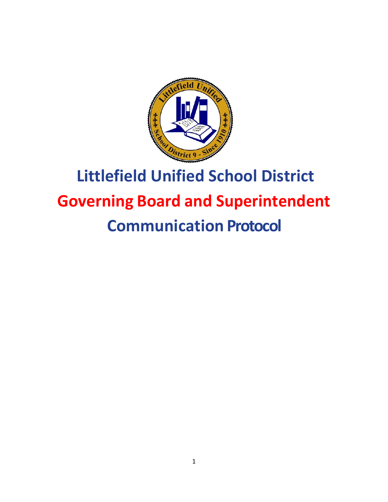

# **Littlefield Unified School District Governing Board and Superintendent Communication Protocol**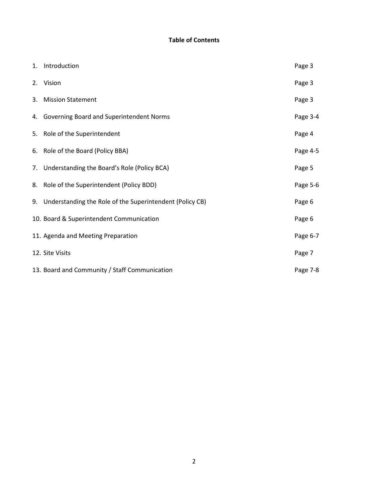#### **Table of Contents**

|    | 1. Introduction                                             | Page 3   |
|----|-------------------------------------------------------------|----------|
|    | 2. Vision                                                   | Page 3   |
| 3. | <b>Mission Statement</b>                                    | Page 3   |
|    | 4. Governing Board and Superintendent Norms                 | Page 3-4 |
|    | 5. Role of the Superintendent                               | Page 4   |
|    | 6. Role of the Board (Policy BBA)                           | Page 4-5 |
|    | 7. Understanding the Board's Role (Policy BCA)              | Page 5   |
|    | 8. Role of the Superintendent (Policy BDD)                  | Page 5-6 |
|    | 9. Understanding the Role of the Superintendent (Policy CB) | Page 6   |
|    | 10. Board & Superintendent Communication                    | Page 6   |
|    | 11. Agenda and Meeting Preparation                          | Page 6-7 |
|    | 12. Site Visits                                             | Page 7   |
|    | 13. Board and Community / Staff Communication               | Page 7-8 |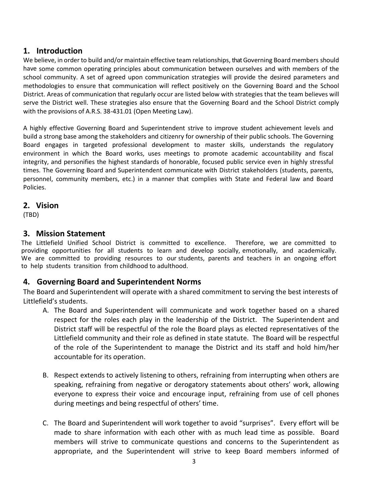### **1. Introduction**

We believe, in order to build and/or maintain effective team relationships, that Governing Board members should have some common operating principles about communication between ourselves and with members of the school community. A set of agreed upon communication strategies will provide the desired parameters and methodologies to ensure that communication will reflect positively on the Governing Board and the School District. Areas of communication that regularly occur are listed below with strategies that the team believes will serve the District well. These strategies also ensure that the Governing Board and the School District comply with the provisions of A.R.S. 38-431.01 (Open Meeting Law).

A highly effective Governing Board and Superintendent strive to improve student achievement levels and build a strong base among the stakeholders and citizenry for ownership of their public schools. The Governing Board engages in targeted professional development to master skills, understands the regulatory environment in which the Board works, uses meetings to promote academic accountability and fiscal integrity, and personifies the highest standards of honorable, focused public service even in highly stressful times. The Governing Board and Superintendent communicate with District stakeholders (students, parents, personnel, community members, etc.) in a manner that complies with State and Federal law and Board Policies.

#### **2. Vision**

(TBD)

## **3. Mission Statement**

The Littlefield Unified School District is committed to excellence. Therefore, we are committed to providing opportunities for all students to learn and develop socially, emotionally, and academically. We are committed to providing resources to our students, parents and teachers in an ongoing effort to help students transition from childhood to adulthood.

## **4. Governing Board and Superintendent Norms**

The Board and Superintendent will operate with a shared commitment to serving the best interests of Littlefield's students.

- A. The Board and Superintendent will communicate and work together based on a shared respect for the roles each play in the leadership of the District. The Superintendent and District staff will be respectful of the role the Board plays as elected representatives of the Littlefield community and their role as defined in state statute. The Board will be respectful of the role of the Superintendent to manage the District and its staff and hold him/her accountable for its operation.
- B. Respect extends to actively listening to others, refraining from interrupting when others are speaking, refraining from negative or derogatory statements about others' work, allowing everyone to express their voice and encourage input, refraining from use of cell phones during meetings and being respectful of others' time.
- C. The Board and Superintendent will work together to avoid "surprises". Every effort will be made to share information with each other with as much lead time as possible. Board members will strive to communicate questions and concerns to the Superintendent as appropriate, and the Superintendent will strive to keep Board members informed of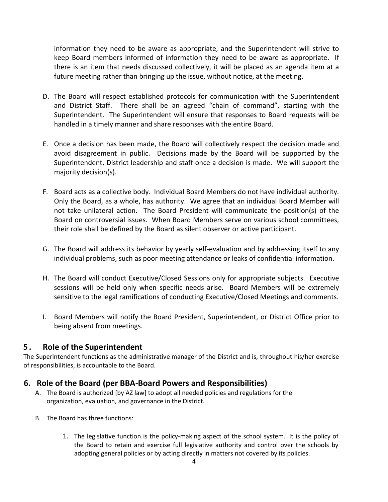information they need to be aware as appropriate, and the Superintendent will strive to keep Board members informed of information they need to be aware as appropriate. If there is an item that needs discussed collectively, it will be placed as an agenda item at a future meeting rather than bringing up the issue, without notice, at the meeting.

- D. The Board will respect established protocols for communication with the Superintendent and District Staff. There shall be an agreed "chain of command", starting with the Superintendent. The Superintendent will ensure that responses to Board requests will be handled in a timely manner and share responses with the entire Board.
- E. Once a decision has been made, the Board will collectively respect the decision made and avoid disagreement in public. Decisions made by the Board will be supported by the Superintendent, District leadership and staff once a decision is made. We will support the majority decision(s).
- F. Board acts as a collective body. Individual Board Members do not have individual authority. Only the Board, as a whole, has authority. We agree that an individual Board Member will not take unilateral action. The Board President will communicate the position(s) of the Board on controversial issues. When Board Members serve on various school committees, their role shall be defined by the Board as silent observer or active participant.
- G. The Board will address its behavior by yearly self-evaluation and by addressing itself to any individual problems, such as poor meeting attendance or leaks of confidential information.
- H. The Board will conduct Executive/Closed Sessions only for appropriate subjects. Executive sessions will be held only when specific needs arise. Board Members will be extremely sensitive to the legal ramifications of conducting Executive/Closed Meetings and comments.
- I. Board Members will notify the Board President, Superintendent, or District Office prior to being absent from meetings.

#### **5 . Role of the Superintendent**

The Superintendent functions as the administrative manager of the District and is, throughout his/her exercise of responsibilities, is accountable to the Board.

#### **6. Role of the Board (per BBA-Board Powers and Responsibilities)**

- A. The Board is authorized [by AZ law] to adopt all needed policies and regulations for the organization, evaluation, and governance in the District.
- B. The Board has three functions:
	- 1. The legislative function is the policy-making aspect of the school system. It is the policy of the Board to retain and exercise full legislative authority and control over the schools by adopting general policies or by acting directly in matters not covered by its policies.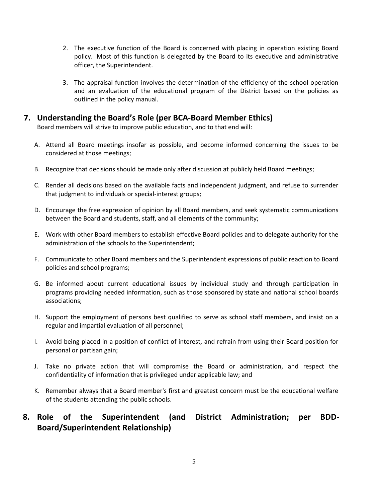- 2. The executive function of the Board is concerned with placing in operation existing Board policy. Most of this function is delegated by the Board to its executive and administrative officer, the Superintendent.
- 3. The appraisal function involves the determination of the efficiency of the school operation and an evaluation of the educational program of the District based on the policies as outlined in the policy manual.

#### **7. Understanding the Board's Role (per BCA-Board Member Ethics)**

Board members will strive to improve public education, and to that end will:

- A. Attend all Board meetings insofar as possible, and become informed concerning the issues to be considered at those meetings;
- B. Recognize that decisions should be made only after discussion at publicly held Board meetings;
- C. Render all decisions based on the available facts and independent judgment, and refuse to surrender that judgment to individuals or special-interest groups;
- D. Encourage the free expression of opinion by all Board members, and seek systematic communications between the Board and students, staff, and all elements of the community;
- E. Work with other Board members to establish effective Board policies and to delegate authority for the administration of the schools to the Superintendent;
- F. Communicate to other Board members and the Superintendent expressions of public reaction to Board policies and school programs;
- G. Be informed about current educational issues by individual study and through participation in programs providing needed information, such as those sponsored by state and national school boards associations;
- H. Support the employment of persons best qualified to serve as school staff members, and insist on a regular and impartial evaluation of all personnel;
- I. Avoid being placed in a position of conflict of interest, and refrain from using their Board position for personal or partisan gain;
- J. Take no private action that will compromise the Board or administration, and respect the confidentiality of information that is privileged under applicable law; and
- K. Remember always that a Board member's first and greatest concern must be the educational welfare of the students attending the public schools.

# **8. Role of the Superintendent (and District Administration; per BDD-Board/Superintendent Relationship)**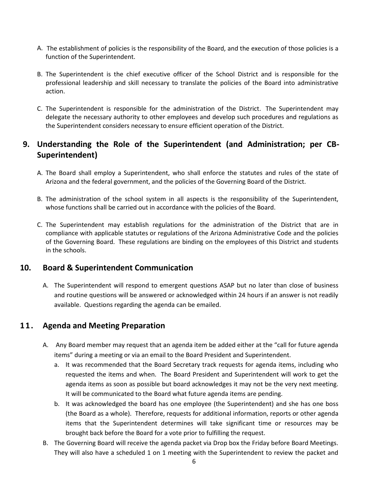- A. The establishment of policies is the responsibility of the Board, and the execution of those policies is a function of the Superintendent.
- B. The Superintendent is the chief executive officer of the School District and is responsible for the professional leadership and skill necessary to translate the policies of the Board into administrative action.
- C. The Superintendent is responsible for the administration of the District. The Superintendent may delegate the necessary authority to other employees and develop such procedures and regulations as the Superintendent considers necessary to ensure efficient operation of the District.

## **9. Understanding the Role of the Superintendent (and Administration; per CB-Superintendent)**

- A. The Board shall employ a Superintendent, who shall enforce the statutes and rules of the state of Arizona and the federal government, and the policies of the Governing Board of the District.
- B. The administration of the school system in all aspects is the responsibility of the Superintendent, whose functions shall be carried out in accordance with the policies of the Board.
- C. The Superintendent may establish regulations for the administration of the District that are in compliance with applicable statutes or regulations of the Arizona Administrative Code and the policies of the Governing Board. These regulations are binding on the employees of this District and students in the schools.

#### **10. Board & Superintendent Communication**

A. The Superintendent will respond to emergent questions ASAP but no later than close of business and routine questions will be answered or acknowledged within 24 hours if an answer is not readily available. Questions regarding the agenda can be emailed.

#### **11. Agenda and Meeting Preparation**

- A. Any Board member may request that an agenda item be added either at the "call for future agenda items" during a meeting or via an email to the Board President and Superintendent.
	- a. It was recommended that the Board Secretary track requests for agenda items, including who requested the items and when. The Board President and Superintendent will work to get the agenda items as soon as possible but board acknowledges it may not be the very next meeting. It will be communicated to the Board what future agenda items are pending.
	- b. It was acknowledged the board has one employee (the Superintendent) and she has one boss (the Board as a whole). Therefore, requests for additional information, reports or other agenda items that the Superintendent determines will take significant time or resources may be brought back before the Board for a vote prior to fulfilling the request.
- B. The Governing Board will receive the agenda packet via Drop box the Friday before Board Meetings. They will also have a scheduled 1 on 1 meeting with the Superintendent to review the packet and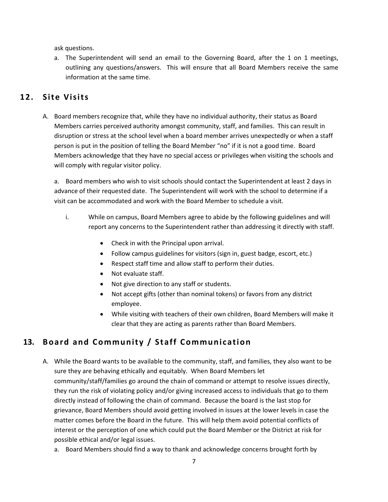ask questions.

a. The Superintendent will send an email to the Governing Board, after the 1 on 1 meetings, outlining any questions/answers. This will ensure that all Board Members receive the same information at the same time.

#### **12. Site Visits**

A. Board members recognize that, while they have no individual authority, their status as Board Members carries perceived authority amongst community, staff, and families. This can result in disruption or stress at the school level when a board member arrives unexpectedly or when a staff person is put in the position of telling the Board Member "no" if it is not a good time. Board Members acknowledge that they have no special access or privileges when visiting the schools and will comply with regular visitor policy.

a. Board members who wish to visit schools should contact the Superintendent at least 2 days in advance of their requested date. The Superintendent will work with the school to determine if a visit can be accommodated and work with the Board Member to schedule a visit.

- i. While on campus, Board Members agree to abide by the following guidelines and will report any concerns to the Superintendent rather than addressing it directly with staff.
	- Check in with the Principal upon arrival.
	- Follow campus guidelines for visitors (sign in, guest badge, escort, etc.)
	- Respect staff time and allow staff to perform their duties.
	- Not evaluate staff.
	- Not give direction to any staff or students.
	- Not accept gifts (other than nominal tokens) or favors from any district employee.
	- While visiting with teachers of their own children, Board Members will make it clear that they are acting as parents rather than Board Members.

## **13. Board and Community / Staff Communication**

- A. While the Board wants to be available to the community, staff, and families, they also want to be sure they are behaving ethically and equitably. When Board Members let community/staff/families go around the chain of command or attempt to resolve issues directly, they run the risk of violating policy and/or giving increased access to individuals that go to them directly instead of following the chain of command. Because the board is the last stop for grievance, Board Members should avoid getting involved in issues at the lower levels in case the matter comes before the Board in the future. This will help them avoid potential conflicts of interest or the perception of one which could put the Board Member or the District at risk for possible ethical and/or legal issues.
	- a. Board Members should find a way to thank and acknowledge concerns brought forth by